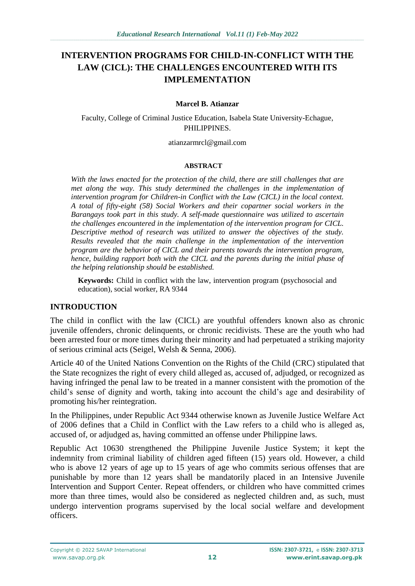# **INTERVENTION PROGRAMS FOR CHILD-IN-CONFLICT WITH THE LAW (CICL): THE CHALLENGES ENCOUNTERED WITH ITS IMPLEMENTATION**

#### **Marcel B. Atianzar**

Faculty, College of Criminal Justice Education, Isabela State University-Echague, PHILIPPINES.

atianzarmrcl@gmail.com

#### **ABSTRACT**

*With the laws enacted for the protection of the child, there are still challenges that are met along the way. This study determined the challenges in the implementation of intervention program for Children-in Conflict with the Law (CICL) in the local context. A total of fifty-eight (58) Social Workers and their copartner social workers in the Barangays took part in this study. A self-made questionnaire was utilized to ascertain the challenges encountered in the implementation of the intervention program for CICL. Descriptive method of research was utilized to answer the objectives of the study. Results revealed that the main challenge in the implementation of the intervention program are the behavior of CICL and their parents towards the intervention program, hence, building rapport both with the CICL and the parents during the initial phase of the helping relationship should be established.*

**Keywords:** Child in conflict with the law, intervention program (psychosocial and education), social worker, RA 9344

#### **INTRODUCTION**

The child in conflict with the law (CICL) are youthful offenders known also as chronic juvenile offenders, chronic delinquents, or chronic recidivists. These are the youth who had been arrested four or more times during their minority and had perpetuated a striking majority of serious criminal acts (Seigel, Welsh & Senna, 2006).

Article 40 of the United Nations Convention on the Rights of the Child (CRC) stipulated that the State recognizes the right of every child alleged as, accused of, adjudged, or recognized as having infringed the penal law to be treated in a manner consistent with the promotion of the child's sense of dignity and worth, taking into account the child's age and desirability of promoting his/her reintegration.

In the Philippines, under Republic Act 9344 otherwise known as Juvenile Justice Welfare Act of 2006 defines that a Child in Conflict with the Law refers to a child who is alleged as, accused of, or adjudged as, having committed an offense under Philippine laws.

Republic Act 10630 strengthened the Philippine Juvenile Justice System; it kept the indemnity from criminal liability of children aged fifteen (15) years old. However, a child who is above 12 years of age up to 15 years of age who commits serious offenses that are punishable by more than 12 years shall be mandatorily placed in an Intensive Juvenile Intervention and Support Center. Repeat offenders, or children who have committed crimes more than three times, would also be considered as neglected children and, as such, must undergo intervention programs supervised by the local social welfare and development officers.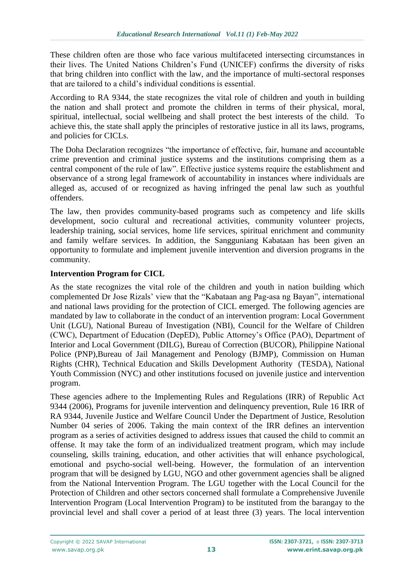These children often are those who face various multifaceted intersecting circumstances in their lives. The United Nations Children's Fund (UNICEF) confirms the diversity of risks that bring children into conflict with the law, and the importance of multi-sectoral responses that are tailored to a child's individual conditions is essential.

According to RA 9344, the state recognizes the vital role of children and youth in building the nation and shall protect and promote the children in terms of their physical, moral, spiritual, intellectual, social wellbeing and shall protect the best interests of the child. To achieve this, the state shall apply the principles of restorative justice in all its laws, programs, and policies for CICLs.

The Doha Declaration recognizes "the importance of effective, fair, humane and accountable crime prevention and criminal justice systems and the institutions comprising them as a central component of the rule of law". Effective justice systems require the establishment and observance of a strong legal framework of accountability in instances where individuals are alleged as, accused of or recognized as having infringed the penal law such as youthful offenders.

The law, then provides community-based programs such as competency and life skills development, socio cultural and recreational activities, community volunteer projects, leadership training, social services, home life services, spiritual enrichment and community and family welfare services. In addition, the Sangguniang Kabataan has been given an opportunity to formulate and implement juvenile intervention and diversion programs in the community.

# **Intervention Program for CICL**

As the state recognizes the vital role of the children and youth in nation building which complemented Dr Jose Rizals' view that the "Kabataan ang Pag-asa ng Bayan", international and national laws providing for the protection of CICL emerged. The following agencies are mandated by law to collaborate in the conduct of an intervention program: Local Government Unit (LGU), National Bureau of Investigation (NBI), Council for the Welfare of Children (CWC), Department of Education (DepED), Public Attorney's Office (PAO), Department of Interior and Local Government (DILG), Bureau of Correction (BUCOR), Philippine National Police (PNP),Bureau of Jail Management and Penology (BJMP), Commission on Human Rights (CHR), Technical Education and Skills Development Authority (TESDA), National Youth Commission (NYC) and other institutions focused on juvenile justice and intervention program.

These agencies adhere to the Implementing Rules and Regulations (IRR) of Republic Act 9344 (2006), Programs for juvenile intervention and delinquency prevention, Rule 16 IRR of RA 9344, Juvenile Justice and Welfare Council Under the Department of Justice, Resolution Number 04 series of 2006. Taking the main context of the IRR defines an intervention program as a series of activities designed to address issues that caused the child to commit an offense. It may take the form of an individualized treatment program, which may include counseling, skills training, education, and other activities that will enhance psychological, emotional and psycho-social well-being. However, the formulation of an intervention program that will be designed by LGU, NGO and other government agencies shall be aligned from the National Intervention Program. The LGU together with the Local Council for the Protection of Children and other sectors concerned shall formulate a Comprehensive Juvenile Intervention Program (Local Intervention Program) to be instituted from the barangay to the provincial level and shall cover a period of at least three (3) years. The local intervention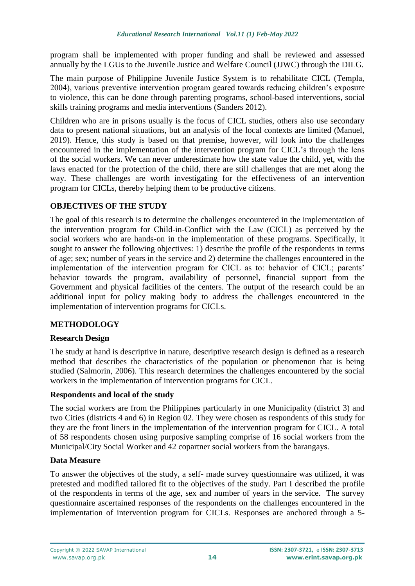program shall be implemented with proper funding and shall be reviewed and assessed annually by the LGUs to the Juvenile Justice and Welfare Council (JJWC) through the DILG.

The main purpose of Philippine Juvenile Justice System is to rehabilitate CICL (Templa, 2004), various preventive intervention program geared towards reducing children's exposure to violence, this can be done through parenting programs, school-based interventions, social skills training programs and media interventions (Sanders 2012).

Children who are in prisons usually is the focus of CICL studies, others also use secondary data to present national situations, but an analysis of the local contexts are limited (Manuel, 2019). Hence, this study is based on that premise, however, will look into the challenges encountered in the implementation of the intervention program for CICL's through the lens of the social workers. We can never underestimate how the state value the child, yet, with the laws enacted for the protection of the child, there are still challenges that are met along the way. These challenges are worth investigating for the effectiveness of an intervention program for CICLs, thereby helping them to be productive citizens.

# **OBJECTIVES OF THE STUDY**

The goal of this research is to determine the challenges encountered in the implementation of the intervention program for Child-in-Conflict with the Law (CICL) as perceived by the social workers who are hands-on in the implementation of these programs. Specifically, it sought to answer the following objectives: 1) describe the profile of the respondents in terms of age; sex; number of years in the service and 2) determine the challenges encountered in the implementation of the intervention program for CICL as to: behavior of CICL; parents' behavior towards the program, availability of personnel, financial support from the Government and physical facilities of the centers. The output of the research could be an additional input for policy making body to address the challenges encountered in the implementation of intervention programs for CICLs.

### **METHODOLOGY**

### **Research Design**

The study at hand is descriptive in nature, descriptive research design is defined as a research method that describes the characteristics of the population or phenomenon that is being studied (Salmorin, 2006). This research determines the challenges encountered by the social workers in the implementation of intervention programs for CICL.

### **Respondents and local of the study**

The social workers are from the Philippines particularly in one Municipality (district 3) and two Cities (districts 4 and 6) in Region 02. They were chosen as respondents of this study for they are the front liners in the implementation of the intervention program for CICL. A total of 58 respondents chosen using purposive sampling comprise of 16 social workers from the Municipal/City Social Worker and 42 copartner social workers from the barangays.

### **Data Measure**

To answer the objectives of the study, a self- made survey questionnaire was utilized, it was pretested and modified tailored fit to the objectives of the study. Part I described the profile of the respondents in terms of the age, sex and number of years in the service. The survey questionnaire ascertained responses of the respondents on the challenges encountered in the implementation of intervention program for CICLs. Responses are anchored through a 5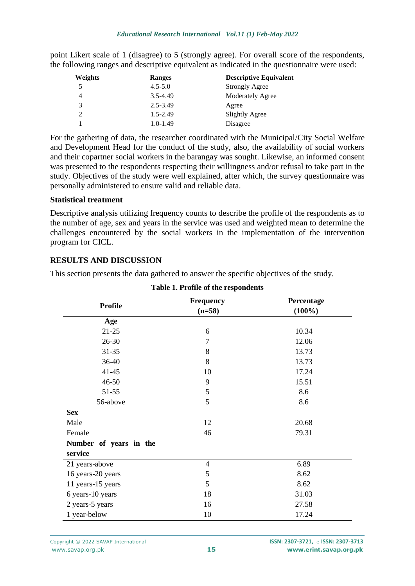point Likert scale of 1 (disagree) to 5 (strongly agree). For overall score of the respondents, the following ranges and descriptive equivalent as indicated in the questionnaire were used:

| Weights | Ranges       | <b>Descriptive Equivalent</b> |  |
|---------|--------------|-------------------------------|--|
| 5       | $4.5 - 5.0$  | <b>Strongly Agree</b>         |  |
| 4       | 3.5-4.49     | <b>Moderately Agree</b>       |  |
| 3       | 2.5-3.49     | Agree                         |  |
| 2       | $1.5 - 2.49$ | <b>Slightly Agree</b>         |  |
|         | $1.0 - 1.49$ | Disagree                      |  |

For the gathering of data, the researcher coordinated with the Municipal/City Social Welfare and Development Head for the conduct of the study, also, the availability of social workers and their copartner social workers in the barangay was sought. Likewise, an informed consent was presented to the respondents respecting their willingness and/or refusal to take part in the study. Objectives of the study were well explained, after which, the survey questionnaire was personally administered to ensure valid and reliable data.

#### **Statistical treatment**

Descriptive analysis utilizing frequency counts to describe the profile of the respondents as to the number of age, sex and years in the service was used and weighted mean to determine the challenges encountered by the social workers in the implementation of the intervention program for CICL.

# **RESULTS AND DISCUSSION**

This section presents the data gathered to answer the specific objectives of the study.

|                        | <b>Frequency</b> | Percentage |  |
|------------------------|------------------|------------|--|
| <b>Profile</b>         | $(n=58)$         | $(100\%)$  |  |
| Age                    |                  |            |  |
| $21 - 25$              | 6                | 10.34      |  |
| $26 - 30$              | $\overline{7}$   | 12.06      |  |
| $31 - 35$              | 8                | 13.73      |  |
| 36-40                  | 8                | 13.73      |  |
| $41 - 45$              | 10               | 17.24      |  |
| 46-50                  | 9                | 15.51      |  |
| 51-55                  | 5                | 8.6        |  |
| 56-above               | 5                | 8.6        |  |
| <b>Sex</b>             |                  |            |  |
| Male                   | 12               | 20.68      |  |
| Female                 | 46               | 79.31      |  |
| Number of years in the |                  |            |  |
| service                |                  |            |  |
| 21 years-above         | $\overline{4}$   | 6.89       |  |
| 16 years-20 years      | 5                | 8.62       |  |
| 11 years-15 years      | 5                | 8.62       |  |
| 6 years-10 years       | 18               | 31.03      |  |
| 2 years-5 years        | 16               | 27.58      |  |
| 1 year-below           | 10               | 17.24      |  |

### **Table 1. Profile of the respondents**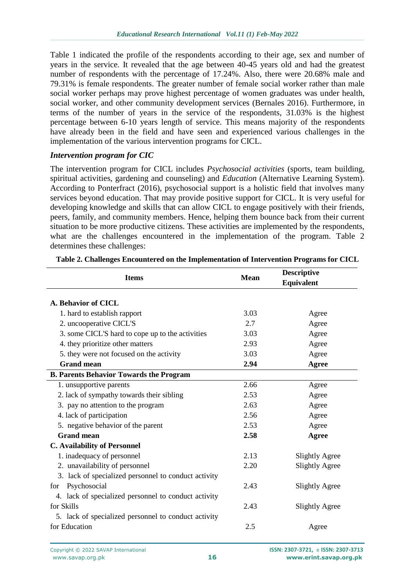Table 1 indicated the profile of the respondents according to their age, sex and number of years in the service. It revealed that the age between 40-45 years old and had the greatest number of respondents with the percentage of 17.24%. Also, there were 20.68% male and 79.31% is female respondents. The greater number of female social worker rather than male social worker perhaps may prove highest percentage of women graduates was under health, social worker, and other community development services (Bernales 2016). Furthermore, in terms of the number of years in the service of the respondents, 31.03% is the highest percentage between 6-10 years length of service. This means majority of the respondents have already been in the field and have seen and experienced various challenges in the implementation of the various intervention programs for CICL.

#### *Intervention program for CIC*

The intervention program for CICL includes *Psychosocial activities* (sports, team building, spiritual activities, gardening and counseling) and *Education* (Alternative Learning System). According to Ponterfract (2016), psychosocial support is a holistic field that involves many services beyond education. That may provide positive support for CICL. It is very useful for developing knowledge and skills that can allow CICL to engage positively with their friends, peers, family, and community members. Hence, helping them bounce back from their current situation to be more productive citizens. These activities are implemented by the respondents, what are the challenges encountered in the implementation of the program. Table 2 determines these challenges:

| <b>Items</b>                                         | <b>Mean</b> | <b>Descriptive</b>    |
|------------------------------------------------------|-------------|-----------------------|
|                                                      |             | <b>Equivalent</b>     |
|                                                      |             |                       |
| A. Behavior of CICL                                  |             |                       |
| 1. hard to establish rapport                         | 3.03        | Agree                 |
| 2. uncooperative CICL'S                              | 2.7         | Agree                 |
| 3. some CICL'S hard to cope up to the activities     | 3.03        | Agree                 |
| 4. they prioritize other matters                     | 2.93        | Agree                 |
| 5. they were not focused on the activity             | 3.03        | Agree                 |
| <b>Grand mean</b>                                    | 2.94        | Agree                 |
| <b>B. Parents Behavior Towards the Program</b>       |             |                       |
| 1. unsupportive parents                              | 2.66        | Agree                 |
| 2. lack of sympathy towards their sibling            | 2.53        | Agree                 |
| 3. pay no attention to the program                   | 2.63        | Agree                 |
| 4. lack of participation                             | 2.56        | Agree                 |
| 5. negative behavior of the parent                   | 2.53        | Agree                 |
| <b>Grand mean</b>                                    | 2.58        | Agree                 |
| <b>C. Availability of Personnel</b>                  |             |                       |
| 1. inadequacy of personnel                           | 2.13        | <b>Slightly Agree</b> |
| 2. unavailability of personnel                       | 2.20        | <b>Slightly Agree</b> |
| 3. lack of specialized personnel to conduct activity |             |                       |
| Psychosocial<br>for                                  | 2.43        | <b>Slightly Agree</b> |
| 4. lack of specialized personnel to conduct activity |             |                       |
| for Skills                                           | 2.43        | <b>Slightly Agree</b> |
| 5. lack of specialized personnel to conduct activity |             |                       |
| for Education                                        | 2.5         | Agree                 |

**Table 2. Challenges Encountered on the Implementation of Intervention Programs for CICL**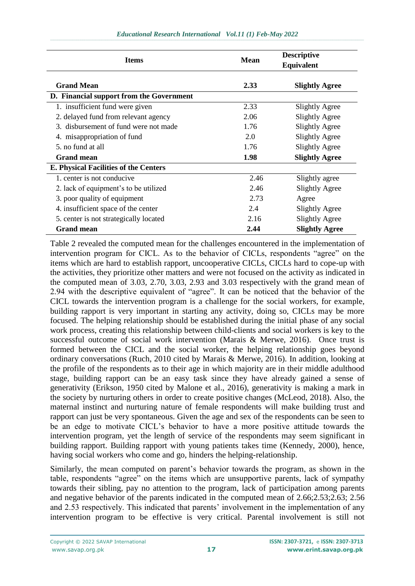| <b>Items</b>                                 | <b>Mean</b> | <b>Descriptive</b>    |
|----------------------------------------------|-------------|-----------------------|
|                                              |             | Equivalent            |
| <b>Grand Mean</b>                            | 2.33        | <b>Slightly Agree</b> |
| D. Financial support from the Government     |             |                       |
| 1. insufficient fund were given              | 2.33        | <b>Slightly Agree</b> |
| 2. delayed fund from relevant agency         | 2.06        | <b>Slightly Agree</b> |
| 3. disbursement of fund were not made        | 1.76        | <b>Slightly Agree</b> |
| 4. misappropriation of fund                  | 2.0         | <b>Slightly Agree</b> |
| 5. no fund at all                            | 1.76        | <b>Slightly Agree</b> |
| <b>Grand mean</b>                            | 1.98        | <b>Slightly Agree</b> |
| <b>E. Physical Facilities of the Centers</b> |             |                       |
| 1. center is not conducive                   | 2.46        | Slightly agree        |
| 2. lack of equipment's to be utilized        | 2.46        | <b>Slightly Agree</b> |
| 3. poor quality of equipment                 | 2.73        | Agree                 |
| 4. insufficient space of the center          | 2.4         | <b>Slightly Agree</b> |
| 5. center is not strategically located       | 2.16        | <b>Slightly Agree</b> |
| <b>Grand mean</b>                            | 2.44        | <b>Slightly Agree</b> |

Table 2 revealed the computed mean for the challenges encountered in the implementation of intervention program for CICL. As to the behavior of CICLs, respondents "agree" on the items which are hard to establish rapport, uncooperative CICLs, CICLs hard to cope-up with the activities, they prioritize other matters and were not focused on the activity as indicated in the computed mean of 3.03, 2.70, 3.03, 2.93 and 3.03 respectively with the grand mean of 2.94 with the descriptive equivalent of "agree". It can be noticed that the behavior of the CICL towards the intervention program is a challenge for the social workers, for example, building rapport is very important in starting any activity, doing so, CICLs may be more focused. The helping relationship should be established during the initial phase of any social work process, creating this relationship between child-clients and social workers is key to the successful outcome of social work intervention (Marais & Merwe, 2016). Once trust is formed between the CICL and the social worker, the helping relationship goes beyond ordinary conversations (Ruch, 2010 cited by Marais & Merwe, 2016). In addition, looking at the profile of the respondents as to their age in which majority are in their middle adulthood stage, building rapport can be an easy task since they have already gained a sense of generativity (Erikson, 1950 cited by Malone et al., 2016), generativity is making a mark in the society by nurturing others in order to create positive changes (McLeod, 2018). Also, the maternal instinct and nurturing nature of female respondents will make building trust and rapport can just be very spontaneous. Given the age and sex of the respondents can be seen to be an edge to motivate CICL's behavior to have a more positive attitude towards the intervention program, yet the length of service of the respondents may seem significant in building rapport. Building rapport with young patients takes time (Kennedy, 2000), hence, having social workers who come and go, hinders the helping-relationship.

Similarly, the mean computed on parent's behavior towards the program, as shown in the table, respondents "agree" on the items which are unsupportive parents, lack of sympathy towards their sibling, pay no attention to the program, lack of participation among parents and negative behavior of the parents indicated in the computed mean of 2.66;2.53;2.63; 2.56 and 2.53 respectively. This indicated that parents' involvement in the implementation of any intervention program to be effective is very critical. Parental involvement is still not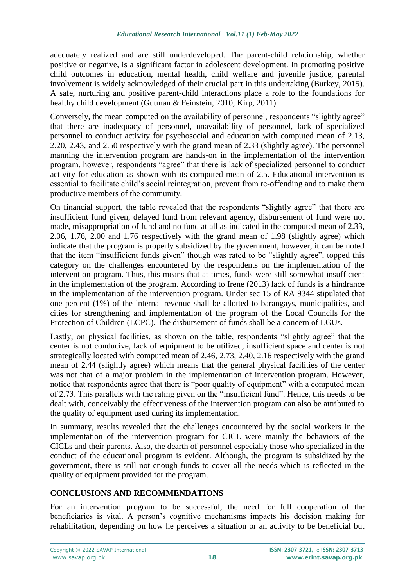adequately realized and are still underdeveloped. The parent-child relationship, whether positive or negative, is a significant factor in adolescent development. In promoting positive child outcomes in education, mental health, child welfare and juvenile justice, parental involvement is widely acknowledged of their crucial part in this undertaking (Burkey, 2015). A safe, nurturing and positive parent-child interactions place a role to the foundations for healthy child development (Gutman & Feinstein, 2010, Kirp, 2011).

Conversely, the mean computed on the availability of personnel, respondents "slightly agree" that there are inadequacy of personnel, unavailability of personnel, lack of specialized personnel to conduct activity for psychosocial and education with computed mean of 2.13, 2.20, 2.43, and 2.50 respectively with the grand mean of 2.33 (slightly agree). The personnel manning the intervention program are hands-on in the implementation of the intervention program, however, respondents "agree" that there is lack of specialized personnel to conduct activity for education as shown with its computed mean of 2.5. Educational intervention is essential to facilitate child's social reintegration, prevent from re-offending and to make them productive members of the community.

On financial support, the table revealed that the respondents "slightly agree" that there are insufficient fund given, delayed fund from relevant agency, disbursement of fund were not made, misappropriation of fund and no fund at all as indicated in the computed mean of 2.33, 2.06, 1.76, 2.00 and 1.76 respectively with the grand mean of 1.98 (slightly agree) which indicate that the program is properly subsidized by the government, however, it can be noted that the item "insufficient funds given" though was rated to be "slightly agree", topped this category on the challenges encountered by the respondents on the implementation of the intervention program. Thus, this means that at times, funds were still somewhat insufficient in the implementation of the program. According to Irene (2013) lack of funds is a hindrance in the implementation of the intervention program. Under sec 15 of RA 9344 stipulated that one percent (1%) of the internal revenue shall be allotted to barangays, municipalities, and cities for strengthening and implementation of the program of the Local Councils for the Protection of Children (LCPC). The disbursement of funds shall be a concern of LGUs.

Lastly, on physical facilities, as shown on the table, respondents "slightly agree" that the center is not conducive, lack of equipment to be utilized, insufficient space and center is not strategically located with computed mean of 2.46, 2.73, 2.40, 2.16 respectively with the grand mean of 2.44 (slightly agree) which means that the general physical facilities of the center was not that of a major problem in the implementation of intervention program. However, notice that respondents agree that there is "poor quality of equipment" with a computed mean of 2.73. This parallels with the rating given on the "insufficient fund". Hence, this needs to be dealt with, conceivably the effectiveness of the intervention program can also be attributed to the quality of equipment used during its implementation.

In summary, results revealed that the challenges encountered by the social workers in the implementation of the intervention program for CICL were mainly the behaviors of the CICLs and their parents. Also, the dearth of personnel especially those who specialized in the conduct of the educational program is evident. Although, the program is subsidized by the government, there is still not enough funds to cover all the needs which is reflected in the quality of equipment provided for the program.

# **CONCLUSIONS AND RECOMMENDATIONS**

For an intervention program to be successful, the need for full cooperation of the beneficiaries is vital. A person's cognitive mechanisms impacts his decision making for rehabilitation, depending on how he perceives a situation or an activity to be beneficial but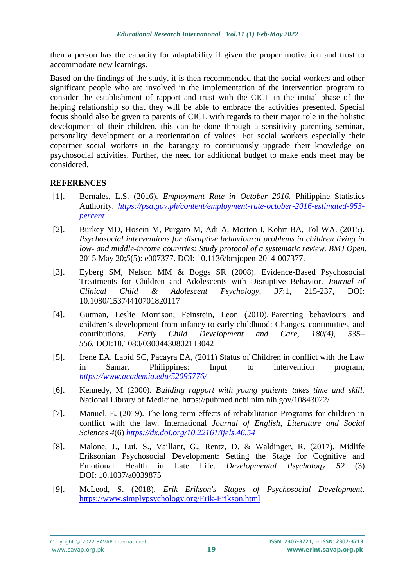then a person has the capacity for adaptability if given the proper motivation and trust to accommodate new learnings.

Based on the findings of the study, it is then recommended that the social workers and other significant people who are involved in the implementation of the intervention program to consider the establishment of rapport and trust with the CICL in the initial phase of the helping relationship so that they will be able to embrace the activities presented. Special focus should also be given to parents of CICL with regards to their major role in the holistic development of their children, this can be done through a sensitivity parenting seminar, personality development or a reorientation of values. For social workers especially their copartner social workers in the barangay to continuously upgrade their knowledge on psychosocial activities. Further, the need for additional budget to make ends meet may be considered.

# **REFERENCES**

- [1]. Bernales, L.S. (2016). *Employment Rate in October 2016.* Philippine Statistics Authority. *[https://psa.gov.ph/content/employment-rate-october-2016-estimated-953](https://psa.gov.ph/content/employment-rate-october-2016-estimated-953-percent) [percent](https://psa.gov.ph/content/employment-rate-october-2016-estimated-953-percent)*
- [2]. Burkey MD, Hosein M, Purgato M, Adi A, Morton I, Kohrt BA, Tol WA. (2015). *Psychosocial interventions for disruptive behavioural problems in children living in low- and middle-income countries: Study protocol of a systematic review. BMJ Open*. 2015 May 20;*5*(5): e007377. DOI: 10.1136/bmjopen-2014-007377.
- [3]. Eyberg SM, Nelson MM & Boggs SR (2008). Evidence-Based Psychosocial Treatments for Children and Adolescents with Disruptive Behavior. *Journal of Clinical Child & Adolescent Psychology, 37*:1, 215-237, DOI: 10.1080/15374410701820117
- [4]. Gutman, Leslie Morrison; Feinstein, Leon (2010). Parenting behaviours and children's development from infancy to early childhood: Changes, continuities, and contributions. *Early Child Development and Care, 180(4), 535– 556.* DOI:10.1080/03004430802113042
- [5]. Irene EA, Labid SC, Pacayra EA, (2011) Status of Children in conflict with the Law in Samar. Philippines: Input to intervention program, *<https://www.academia.edu/52095776/>*
- [6]. Kennedy, M (2000). *Building rapport with young patients takes time and skill.* National Library of Medicine.<https://pubmed.ncbi.nlm.nih.gov/10843022/>
- [7]. Manuel, E. (2019). The long-term effects of rehabilitation Programs for children in conflict with the law. International *Journal of English, Literature and Social Sciences 4*(6) *<https://dx.doi.org/10.22161/ijels.46.54>*
- [8]. Malone, J., Lui, S., Vaillant, G., Rentz, D. & Waldinger, R. (2017). Midlife Eriksonian Psychosocial Development: Setting the Stage for Cognitive and Emotional Health in Late Life. *Developmental Psychology 52* (3) DOI: [10.1037/a0039875](https://dx.doi.org/10.1037%2Fa0039875)
- [9]. McLeod, S. (2018). *Erik Erikson's Stages of Psychosocial Development.* <https://www.simplypsychology.org/Erik-Erikson.html>

[www.savap.org.pk](http://www.savap.org.pk/) **19 [www.erint.savap.org.pk](http://www.journals.savap.org.pk/)**